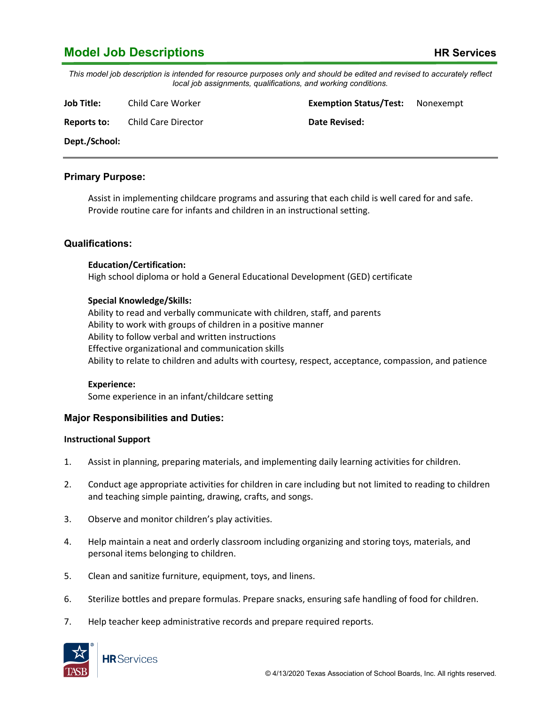# **Model Job Descriptions HR Services**

*This model job description is intended for resource purposes only and should be edited and revised to accurately reflect local job assignments, qualifications, and working conditions.*

**Job Title:** Child Care Worker **Exemption Status/Test:** Nonexempt

**Reports to:** Child Care Director **Date Revised:** 

**Dept./School:**

## **Primary Purpose:**

Assist in implementing childcare programs and assuring that each child is well cared for and safe. Provide routine care for infants and children in an instructional setting.

## **Qualifications:**

#### **Education/Certification:**

High school diploma or hold a General Educational Development (GED) certificate

## **Special Knowledge/Skills:**

Ability to read and verbally communicate with children, staff, and parents Ability to work with groups of children in a positive manner Ability to follow verbal and written instructions Effective organizational and communication skills Ability to relate to children and adults with courtesy, respect, acceptance, compassion, and patience

#### **Experience:**

Some experience in an infant/childcare setting

## **Major Responsibilities and Duties:**

## **Instructional Support**

- 1. Assist in planning, preparing materials, and implementing daily learning activities for children.
- 2. Conduct age appropriate activities for children in care including but not limited to reading to children and teaching simple painting, drawing, crafts, and songs.
- 3. Observe and monitor children's play activities.
- 4. Help maintain a neat and orderly classroom including organizing and storing toys, materials, and personal items belonging to children.
- 5. Clean and sanitize furniture, equipment, toys, and linens.
- 6. Sterilize bottles and prepare formulas. Prepare snacks, ensuring safe handling of food for children.
- 7. Help teacher keep administrative records and prepare required reports.

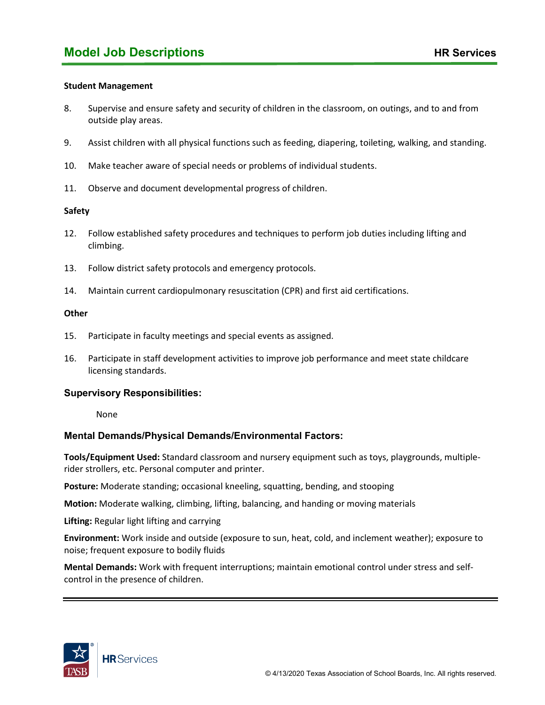#### **Student Management**

- 8. Supervise and ensure safety and security of children in the classroom, on outings, and to and from outside play areas.
- 9. Assist children with all physical functions such as feeding, diapering, toileting, walking, and standing.
- 10. Make teacher aware of special needs or problems of individual students.
- 11. Observe and document developmental progress of children.

#### **Safety**

- 12. Follow established safety procedures and techniques to perform job duties including lifting and climbing.
- 13. Follow district safety protocols and emergency protocols.
- 14. Maintain current cardiopulmonary resuscitation (CPR) and first aid certifications.

#### **Other**

- 15. Participate in faculty meetings and special events as assigned.
- 16. Participate in staff development activities to improve job performance and meet state childcare licensing standards.

## **Supervisory Responsibilities:**

None

## **Mental Demands/Physical Demands/Environmental Factors:**

**Tools/Equipment Used:** Standard classroom and nursery equipment such as toys, playgrounds, multiplerider strollers, etc. Personal computer and printer.

**Posture:** Moderate standing; occasional kneeling, squatting, bending, and stooping

**Motion:** Moderate walking, climbing, lifting, balancing, and handing or moving materials

**Lifting:** Regular light lifting and carrying

**Environment:** Work inside and outside (exposure to sun, heat, cold, and inclement weather); exposure to noise; frequent exposure to bodily fluids

**Mental Demands:** Work with frequent interruptions; maintain emotional control under stress and selfcontrol in the presence of children.